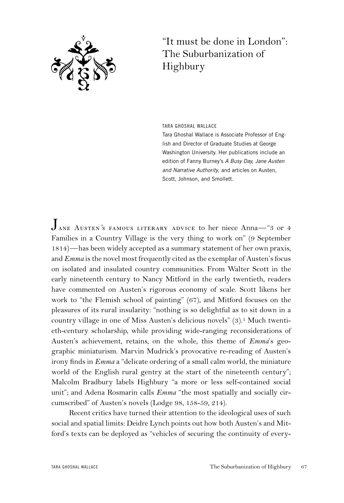

## "It must be done in London": The Suburbanization of Highbury

TARA GHOSHAL WALLACE

Tara Ghoshal Wallace is Associate Professor of English and Director of Graduate Studies at George Washington University. Her publications include an edition of Fanny Burney's A Busy Day, Jane Austen and Narrative Authority, and articles on Austen, Scott, Johnson, and Smollett.

Jane Austen*'*s famous literary advice to her niece Anna—"3 or 4 Families in a Country Village is the very thing to work on" (9 September 1814)—has been widely accepted as a summary statement of her own praxis, and *Emma* is the novel most frequently cited as the exemplar of Austen's focus on isolated and insulated country communities. From Walter Scott in the early nineteenth century to Nancy Mitford in the early twentieth, readers have commented on Austen's rigorous economy of scale. Scott likens her work to "the Flemish school of painting" (67), and Mitford focuses on the pleasures of its rural insularity: "nothing is so delightful as to sit down in a country village in one of Miss Austen's delicious novels" (3).1 Much twentieth-century scholarship, while providing wide-ranging reconsiderations of Austen's achievement, retains, on the whole, this theme of *Emma*'s geographic miniaturism. Marvin Mudrick's provocative re-reading of Austen's irony finds in *Emma* a "delicate ordering of a small calm world, the miniature world of the English rural gentry at the start of the nineteenth century"; Malcolm Bradbury labels Highbury "a more or less self-contained social unit"; and Adena Rosmarin calls *Emma* "the most spatially and socially circumscribed" of Austen's novels (Lodge 98, 158-59, 214).

Recent critics have turned their attention to the ideological uses of such social and spatial limits: Deidre Lynch points out how both Austen's and Mitford's texts can be deployed as "vehicles of securing the continuity of every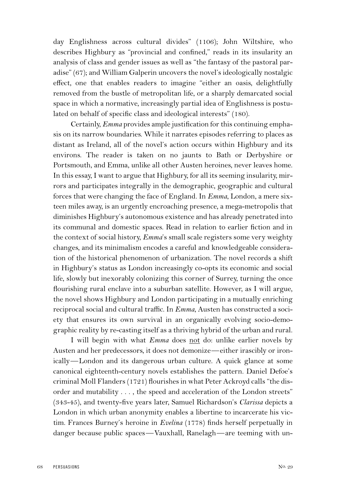day Englishness across cultural divides" (1106); John Wiltshire, who describes Highbury as "provincial and confined," reads in its insularity an analysis of class and gender issues as well as "the fantasy of the pastoral paradise" (67); and William Galperin uncovers the novel's ideologically nostalgic effect, one that enables readers to imagine "either an oasis, delightfully removed from the bustle of metropolitan life, or a sharply demarcated social space in which a normative, increasingly partial idea of Englishness is postulated on behalf of specific class and ideological interests" (180).

Certainly, *Emma* provides ample justification for this continuing emphasis on its narrow boundaries. While it narrates episodes referring to places as distant as Ireland, all of the novel's action occurs within Highbury and its environs. The reader is taken on no jaunts to Bath or Derbyshire or Portsmouth, and Emma, unlike all other Austen heroines, never leaves home. In this essay, I want to argue that Highbury, for all its seeming insularity, mirrors and participates integrally in the demographic, geographic and cultural forces that were changing the face of England. In *Emma*, London, a mere sixteen miles away, is an urgently encroaching presence, a mega-metropolis that diminishes Highbury's autonomous existence and has already penetrated into its communal and domestic spaces. Read in relation to earlier fiction and in the context of social history, *Emma*'s small scale registers some very weighty changes, and its minimalism encodes a careful and knowledgeable consideration of the historical phenomenon of urbanization. The novel records a shift in Highbury's status as London increasingly co-opts its economic and social life, slowly but inexorably colonizing this corner of Surrey, turning the once flourishing rural enclave into a suburban satellite. However, as I will argue, the novel shows Highbury and London participating in a mutually enriching reciprocal social and cultural traffic. In *Emma*, Austen has constructed a society that ensures its own survival in an organically evolving socio-demographic reality by re-casting itself as a thriving hybrid of the urban and rural.

I will begin with what *Emma* does not do: unlike earlier novels by Austen and her predecessors, it does not demonize—either irascibly or ironically—London and its dangerous urban culture. A quick glance at some canonical eighteenth-century novels establishes the pattern. Daniel Defoe's criminal Moll Flanders (1721) flourishes in what Peter Ackroyd calls "the disorder and mutability . . . , the speed and acceleration of the London streets" (343-45), and twenty-five years later, Samuel Richardson's *Clarissa* depicts a London in which urban anonymity enables a libertine to incarcerate his victim. Frances Burney's heroine in *Evelina* (1778) finds herself perpetually in danger because public spaces—Vauxhall, Ranelagh—are teeming with un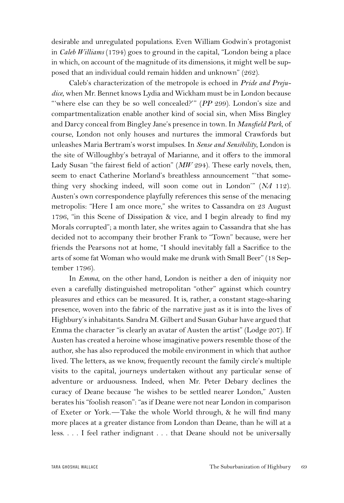desirable and unregulated populations. Even William Godwin's protagonist in *Caleb Williams* (1794) goes to ground in the capital, "London being a place in which, on account of the magnitude of its dimensions, it might well be supposed that an individual could remain hidden and unknown" (262).

Caleb's characterization of the metropole is echoed in *Pride and Prejudice*, when Mr. Bennet knows Lydia and Wickham must be in London because "where else can they be so well concealed?" (PP 299). London's size and compartmentalization enable another kind of social sin, when Miss Bingley and Darcy conceal from Bingley Jane's presence in town. In *Mansfield Park*, of course, London not only houses and nurtures the immoral Crawfords but unleashes Maria Bertram's worst impulses. In *Sense and Sensibility*, London is the site of Willoughby's betrayal of Marianne, and it offers to the immoral Lady Susan "the fairest field of action" (*MW* 294). These early novels, then, seem to enact Catherine Morland's breathless announcement "'that something very shocking indeed, will soon come out in London'" (*NA* 112). Austen's own correspondence playfully references this sense of the menacing metropolis: "Here I am once more," she writes to Cassandra on 23 August 1796, "in this Scene of Dissipation & vice, and I begin already to find my Morals corrupted"; a month later, she writes again to Cassandra that she has decided not to accompany their brother Frank to "Town" because, were her friends the Pearsons not at home, "I should inevitably fall a Sacrifice to the arts of some fat Woman who would make me drunk with Small Beer" (18 September 1796).

In *Emma*, on the other hand, London is neither a den of iniquity nor even a carefully distinguished metropolitan "other" against which country pleasures and ethics can be measured. It is, rather, a constant stage-sharing presence, woven into the fabric of the narrative just as it is into the lives of Highbury's inhabitants. Sandra M. Gilbert and Susan Gubar have argued that Emma the character "is clearly an avatar of Austen the artist" (Lodge 207). If Austen has created a heroine whose imaginative powers resemble those of the author, she has also reproduced the mobile environment in which that author lived. The letters, as we know, frequently recount the family circle's multiple visits to the capital, journeys undertaken without any particular sense of adventure or arduousness. Indeed, when Mr. Peter Debary declines the curacy of Deane because "he wishes to be settled nearer London," Austen berates his "foolish reason": "as if Deane were not near London in comparison of Exeter or York.—Take the whole World through, & he will find many more places at a greater distance from London than Deane, than he will at a less. . . . I feel rather indignant . . . that Deane should not be universally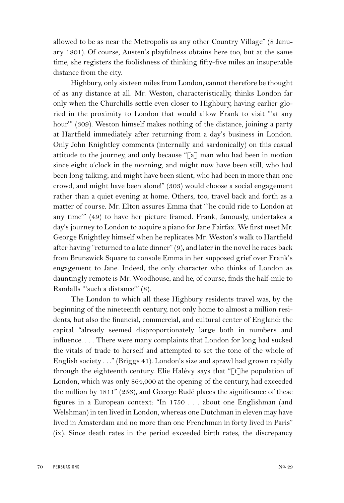allowed to be as near the Metropolis as any other Country Village" (8 January 1801). Of course, Austen's playfulness obtains here too, but at the same time, she registers the foolishness of thinking fifty-five miles an insuperable distance from the city.

Highbury, only sixteen miles from London, cannot therefore be thought of as any distance at all. Mr. Weston, characteristically, thinks London far only when the Churchills settle even closer to Highbury, having earlier gloried in the proximity to London that would allow Frank to visit "'at any hour'" (309). Weston himself makes nothing of the distance, joining a party at Hartfield immediately after returning from a day's business in London. Only John Knightley comments (internally and sardonically) on this casual attitude to the journey, and only because "[a] man who had been in motion since eight o'clock in the morning, and might now have been still, who had been long talking, and might have been silent, who had been in more than one crowd, and might have been alone!" (303) would choose a social engagement rather than a quiet evening at home. Others, too, travel back and forth as a matter of course. Mr. Elton assures Emma that "'he could ride to London at any time'" (49) to have her picture framed. Frank, famously, undertakes a day's journey to London to acquire a piano for Jane Fairfax. We first meet Mr. George Knightley himself when he replicates Mr. Weston's walk to Hartfield after having "returned to a late dinner" (9), and later in the novel he races back from Brunswick Square to console Emma in her supposed grief over Frank's engagement to Jane. Indeed, the only character who thinks of London as dauntingly remote is Mr. Woodhouse, and he, of course, finds the half-mile to Randalls "'such a distance'" (8).

The London to which all these Highbury residents travel was, by the beginning of the nineteenth century, not only home to almost a million residents, but also the financial, commercial, and cultural center of England: the capital "already seemed disproportionately large both in numbers and influence. . . . There were many complaints that London for long had sucked the vitals of trade to herself and attempted to set the tone of the whole of English society . . ." (Briggs 41). London's size and sprawl had grown rapidly through the eighteenth century. Elie Halévy says that "[t]he population of London, which was only 864,000 at the opening of the century, had exceeded the million by 1811" (256), and George Rudé places the significance of these figures in a European context: "In 1750 . . . about one Englishman (and Welshman) in ten lived in London, whereas one Dutchman in eleven may have lived in Amsterdam and no more than one Frenchman in forty lived in Paris" (ix). Since death rates in the period exceeded birth rates, the discrepancy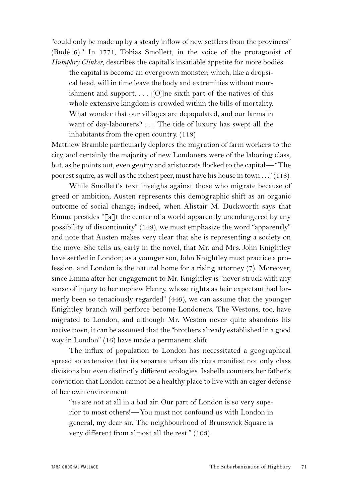"could only be made up by a steady inflow of new settlers from the provinces" (Rudé 6).2 In 1771, Tobias Smollett, in the voice of the protagonist of *Humphry Clinker*, describes the capital's insatiable appetite for more bodies:

the capital is become an overgrown monster; which, like a dropsical head, will in time leave the body and extremities without nourishment and support.  $\ldots$  [O]ne sixth part of the natives of this whole extensive kingdom is crowded within the bills of mortality. What wonder that our villages are depopulated, and our farms in want of day-labourers? . . . The tide of luxury has swept all the inhabitants from the open country. (118)

Matthew Bramble particularly deplores the migration of farm workers to the city, and certainly the majority of new Londoners were of the laboring class, but, as he points out, even gentry and aristocrats flocked to the capital—"The poorest squire, as well as the richest peer, must have his house in town . . ." (118).

While Smollett's text inveighs against those who migrate because of greed or ambition, Austen represents this demographic shift as an organic outcome of social change; indeed, when Alistair M. Duckworth says that Emma presides "[a]t the center of a world apparently unendangered by any possibility of discontinuity" (148), we must emphasize the word "apparently" and note that Austen makes very clear that she is representing a society on the move. She tells us, early in the novel, that Mr. and Mrs. John Knightley have settled in London; as a younger son, John Knightley must practice a profession, and London is the natural home for a rising attorney (7). Moreover, since Emma after her engagement to Mr. Knightley is "never struck with any sense of injury to her nephew Henry, whose rights as heir expectant had formerly been so tenaciously regarded" (449), we can assume that the younger Knightley branch will perforce become Londoners. The Westons, too, have migrated to London, and although Mr. Weston never quite abandons his native town, it can be assumed that the "brothers already established in a good way in London" (16) have made a permanent shift.

The influx of population to London has necessitated a geographical spread so extensive that its separate urban districts manifest not only class divisions but even distinctly different ecologies. Isabella counters her father's conviction that London cannot be a healthy place to live with an eager defense of her own environment:

"*we* are not at all in a bad air. Our part of London is so very superior to most others!—You must not confound us with London in general, my dear sir. The neighbourhood of Brunswick Square is very different from almost all the rest." (103)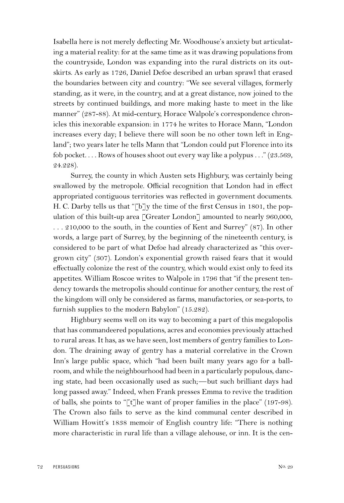Isabella here is not merely deflecting Mr. Woodhouse's anxiety but articulating a material reality: for at the same time as it was drawing populations from the countryside, London was expanding into the rural districts on its outskirts. As early as 1726, Daniel Defoe described an urban sprawl that erased the boundaries between city and country: "We see several villages, formerly standing, as it were, in the country, and at a great distance, now joined to the streets by continued buildings, and more making haste to meet in the like manner" (287-88). At mid-century, Horace Walpole's correspondence chronicles this inexorable expansion: in 1774 he writes to Horace Mann, "London increases every day; I believe there will soon be no other town left in England"; two years later he tells Mann that "London could put Florence into its fob pocket. . . . Rows of houses shoot out every way like a polypus . . ." (23.569, 24.228).

Surrey, the county in which Austen sets Highbury, was certainly being swallowed by the metropole. Official recognition that London had in effect appropriated contiguous territories was reflected in government documents. H. C. Darby tells us that "[b]y the time of the first Census in 1801, the population of this built-up area [Greater London] amounted to nearly 960,000, . . . 210,000 to the south, in the counties of Kent and Surrey" (87). In other words, a large part of Surrey, by the beginning of the nineteenth century, is considered to be part of what Defoe had already characterized as "this overgrown city" (307). London's exponential growth raised fears that it would effectually colonize the rest of the country, which would exist only to feed its appetites. William Roscoe writes to Walpole in 1796 that "if the present tendency towards the metropolis should continue for another century, the rest of the kingdom will only be considered as farms, manufactories, or sea-ports, to furnish supplies to the modern Babylon" (15.282).

Highbury seems well on its way to becoming a part of this megalopolis that has commandeered populations, acres and economies previously attached to rural areas. It has, as we have seen, lost members of gentry families to London. The draining away of gentry has a material correlative in the Crown Inn's large public space, which "had been built many years ago for a ballroom, and while the neighbourhood had been in a particularly populous, dancing state, had been occasionally used as such;—but such brilliant days had long passed away." Indeed, when Frank presses Emma to revive the tradition of balls, she points to " $\lceil \cdot \rceil$  he want of proper families in the place" (197-98). The Crown also fails to serve as the kind communal center described in William Howitt's 1838 memoir of English country life: "There is nothing more characteristic in rural life than a village alehouse, or inn. It is the cen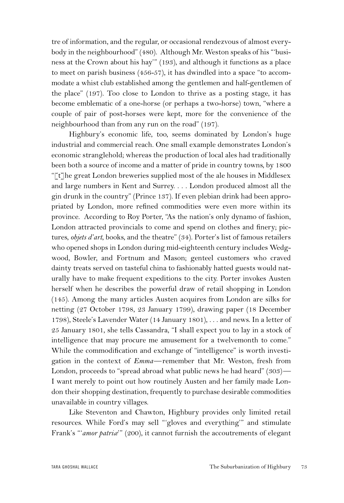tre of information, and the regular, or occasional rendezvous of almost everybody in the neighbourhood" (480). Although Mr. Weston speaks of his "'business at the Crown about his hay'" (193), and although it functions as a place to meet on parish business (456-57), it has dwindled into a space "to accommodate a whist club established among the gentlemen and half-gentlemen of the place" (197). Too close to London to thrive as a posting stage, it has become emblematic of a one-horse (or perhaps a two-horse) town, "where a couple of pair of post-horses were kept, more for the convenience of the neighbourhood than from any run on the road" (197).

Highbury's economic life, too, seems dominated by London's huge industrial and commercial reach. One small example demonstrates London's economic stranglehold; whereas the production of local ales had traditionally been both a source of income and a matter of pride in country towns, by 1800 "[t]he great London breweries supplied most of the ale houses in Middlesex and large numbers in Kent and Surrey. . . . London produced almost all the gin drunk in the country" (Prince 137). If even plebian drink had been appropriated by London, more refined commodities were even more within its province. According to Roy Porter, "As the nation's only dynamo of fashion, London attracted provincials to come and spend on clothes and finery; pictures, *objets d'art*, books, and the theatre" (34). Porter's list of famous retailers who opened shops in London during mid-eighteenth century includes Wedgwood, Bowler, and Fortnum and Mason; genteel customers who craved dainty treats served on tasteful china to fashionably hatted guests would naturally have to make frequent expeditions to the city. Porter invokes Austen herself when he describes the powerful draw of retail shopping in London (145). Among the many articles Austen acquires from London are silks for netting (27 October 1798, 23 January 1799), drawing paper (18 December 1798), Steele's Lavender Water (14 January 1801), . . . and news. In a letter of 25 January 1801, she tells Cassandra, "I shall expect you to lay in a stock of intelligence that may procure me amusement for a twelvemonth to come." While the commodification and exchange of "intelligence" is worth investigation in the context of *Emma*—remember that Mr. Weston, fresh from London, proceeds to "spread abroad what public news he had heard" (303)— I want merely to point out how routinely Austen and her family made London their shopping destination, frequently to purchase desirable commodities unavailable in country villages.

Like Steventon and Chawton, Highbury provides only limited retail resources. While Ford's may sell "'gloves and everything'" and stimulate Frank's "*amor patriæ*" (200), it cannot furnish the accoutrements of elegant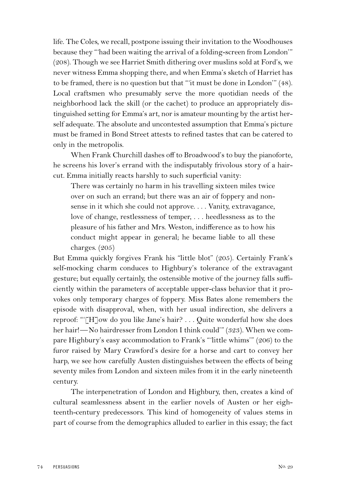life. The Coles, we recall, postpone issuing their invitation to the Woodhouses because they "'had been waiting the arrival of a folding-screen from London'" (208). Though we see Harriet Smith dithering over muslins sold at Ford's, we never witness Emma shopping there, and when Emma's sketch of Harriet has to be framed, there is no question but that "'it must be done in London'" (48). Local craftsmen who presumably serve the more quotidian needs of the neighborhood lack the skill (or the cachet) to produce an appropriately distinguished setting for Emma's art, nor is amateur mounting by the artist herself adequate. The absolute and uncontested assumption that Emma's picture must be framed in Bond Street attests to refined tastes that can be catered to only in the metropolis.

When Frank Churchill dashes off to Broadwood's to buy the pianoforte, he screens his lover's errand with the indisputably frivolous story of a haircut. Emma initially reacts harshly to such superficial vanity:

There was certainly no harm in his travelling sixteen miles twice over on such an errand; but there was an air of foppery and nonsense in it which she could not approve. . . . Vanity, extravagance, love of change, restlessness of temper, . . . heedlessness as to the pleasure of his father and Mrs. Weston, indifference as to how his conduct might appear in general; he became liable to all these charges. (205)

But Emma quickly forgives Frank his "little blot" (205). Certainly Frank's self-mocking charm conduces to Highbury's tolerance of the extravagant gesture; but equally certainly, the ostensible motive of the journey falls sufficiently within the parameters of acceptable upper-class behavior that it provokes only temporary charges of foppery. Miss Bates alone remembers the episode with disapproval, when, with her usual indirection, she delivers a reproof: "'[H]ow do you like Jane's hair? . . . Quite wonderful how she does her hair!—No hairdresser from London I think could'" (323). When we compare Highbury's easy accommodation to Frank's "'little whims'" (206) to the furor raised by Mary Crawford's desire for a horse and cart to convey her harp, we see how carefully Austen distinguishes between the effects of being seventy miles from London and sixteen miles from it in the early nineteenth century.

The interpenetration of London and Highbury, then, creates a kind of cultural seamlessness absent in the earlier novels of Austen or her eighteenth-century predecessors. This kind of homogeneity of values stems in part of course from the demographics alluded to earlier in this essay; the fact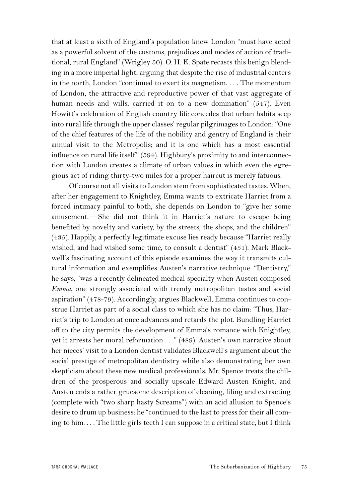that at least a sixth of England's population knew London "must have acted as a powerful solvent of the customs, prejudices and modes of action of traditional, rural England" (Wrigley 50). O. H. K. Spate recasts this benign blending in a more imperial light, arguing that despite the rise of industrial centers in the north, London "continued to exert its magnetism. . . . The momentum of London, the attractive and reproductive power of that vast aggregate of human needs and wills, carried it on to a new domination" (547). Even Howitt's celebration of English country life concedes that urban habits seep into rural life through the upper classes' regular pilgrimages to London: "One of the chief features of the life of the nobility and gentry of England is their annual visit to the Metropolis; and it is one which has a most essential influence on rural life itself" (594). Highbury's proximity to and interconnection with London creates a climate of urban values in which even the egregious act of riding thirty-two miles for a proper haircut is merely fatuous.

Of course not all visits to London stem from sophisticated tastes. When, after her engagement to Knightley, Emma wants to extricate Harriet from a forced intimacy painful to both, she depends on London to "give her some amusement.—She did not think it in Harriet's nature to escape being benefited by novelty and variety, by the streets, the shops, and the children" (435). Happily, a perfectly legitimate excuse lies ready because "Harriet really wished, and had wished some time, to consult a dentist" (451). Mark Blackwell's fascinating account of this episode examines the way it transmits cultural information and exemplifies Austen's narrative technique. "Dentistry," he says, "was a recently delineated medical specialty when Austen composed *Emma*, one strongly associated with trendy metropolitan tastes and social aspiration" (478-79). Accordingly, argues Blackwell, Emma continues to construe Harriet as part of a social class to which she has no claim: "Thus, Harriet's trip to London at once advances and retards the plot. Bundling Harriet off to the city permits the development of Emma's romance with Knightley, yet it arrests her moral reformation . . ." (489). Austen's own narrative about her nieces' visit to a London dentist validates Blackwell's argument about the social prestige of metropolitan dentistry while also demonstrating her own skepticism about these new medical professionals. Mr. Spence treats the children of the prosperous and socially upscale Edward Austen Knight, and Austen ends a rather gruesome description of cleaning, filing and extracting (complete with "two sharp hasty Screams") with an acid allusion to Spence's desire to drum up business: he "continued to the last to press for their all coming to him. . . . The little girls teeth I can suppose in a critical state, but I think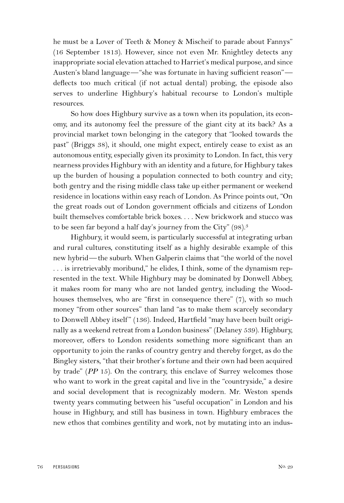he must be a Lover of Teeth & Money & Mischeif to parade about Fannys" (16 September 1813). However, since not even Mr. Knightley detects any inappropriate social elevation attached to Harriet's medical purpose, and since Austen's bland language—"she was fortunate in having sufficient reason" deflects too much critical (if not actual dental) probing, the episode also serves to underline Highbury's habitual recourse to London's multiple resources.

So how does Highbury survive as a town when its population, its economy, and its autonomy feel the pressure of the giant city at its back? As a provincial market town belonging in the category that "looked towards the past" (Briggs 38), it should, one might expect, entirely cease to exist as an autonomous entity, especially given its proximity to London. In fact, this very nearness provides Highbury with an identity and a future, for Highbury takes up the burden of housing a population connected to both country and city; both gentry and the rising middle class take up either permanent or weekend residence in locations within easy reach of London. As Prince points out, "On the great roads out of London government officials and citizens of London built themselves comfortable brick boxes. . . . New brickwork and stucco was to be seen far beyond a half day's journey from the City" (98).3

Highbury, it would seem, is particularly successful at integrating urban and rural cultures, constituting itself as a highly desirable example of this new hybrid—the suburb. When Galperin claims that "the world of the novel . . . is irretrievably moribund," he elides, I think, some of the dynamism represented in the text. While Highbury may be dominated by Donwell Abbey, it makes room for many who are not landed gentry, including the Woodhouses themselves, who are "first in consequence there" (7), with so much money "from other sources" than land "as to make them scarcely secondary to Donwell Abbey itself " (136). Indeed, Hartfield "may have been built originally as a weekend retreat from a London business" (Delaney 539). Highbury, moreover, offers to London residents something more significant than an opportunity to join the ranks of country gentry and thereby forget, as do the Bingley sisters, "that their brother's fortune and their own had been acquired by trade" (*PP* 15). On the contrary, this enclave of Surrey welcomes those who want to work in the great capital and live in the "countryside," a desire and social development that is recognizably modern. Mr. Weston spends twenty years commuting between his "useful occupation" in London and his house in Highbury, and still has business in town. Highbury embraces the new ethos that combines gentility and work, not by mutating into an indus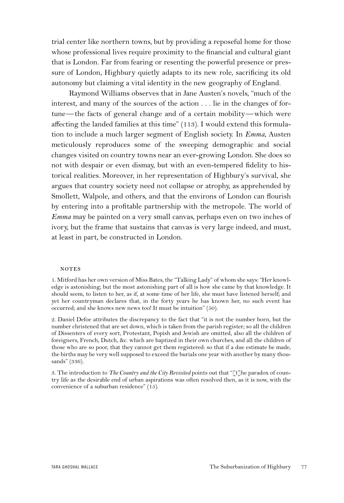trial center like northern towns, but by providing a reposeful home for those whose professional lives require proximity to the financial and cultural giant that is London. Far from fearing or resenting the powerful presence or pressure of London, Highbury quietly adapts to its new role, sacrificing its old autonomy but claiming a vital identity in the new geography of England.

Raymond Williams observes that in Jane Austen's novels, "much of the interest, and many of the sources of the action . . . lie in the changes of fortune—the facts of general change and of a certain mobility—which were affecting the landed families at this time" (113). I would extend this formulation to include a much larger segment of English society. In *Emma*, Austen meticulously reproduces some of the sweeping demographic and social changes visited on country towns near an ever-growing London. She does so not with despair or even dismay, but with an even-tempered fidelity to historical realities. Moreover, in her representation of Highbury's survival, she argues that country society need not collapse or atrophy, as apprehended by Smollett, Walpole, and others, and that the environs of London can flourish by entering into a profitable partnership with the metropole. The world of *Emma* may be painted on a very small canvas, perhaps even on two inches of ivory, but the frame that sustains that canvas is very large indeed, and must, at least in part, be constructed in London.

## **NOTES**

2. Daniel Defoe attributes the discrepancy to the fact that "it is not the number born, but the number christened that are set down, which is taken from the parish register; so all the children of Dissenters of every sort, Protestant, Popish and Jewish are omitted, also all the children of foreigners, French, Dutch, &c. which are baptized in their own churches, and all the children of those who are so poor, that they cannot get them registered: so that if a due estimate be made, the births may be very well supposed to exceed the burials one year with another by many thousands" (336).

3. The introduction to *The Country and the City Revisited* points out that "[t]he paradox of country life as the desirable end of urban aspirations was often resolved then, as it is now, with the convenience of a suburban residence" (15).

<sup>1.</sup> Mitford has her own version of Miss Bates, the "Talking Lady" of whom she says: "Her knowledge is astonishing; but the most astonishing part of all is how she came by that knowledge. It should seem, to listen to her, as if, at some time of her life, she must have listened herself; and yet her countryman declares that, in the forty years he has known her, no such event has occurred; and she knows new news too! It must be intuition" (50).